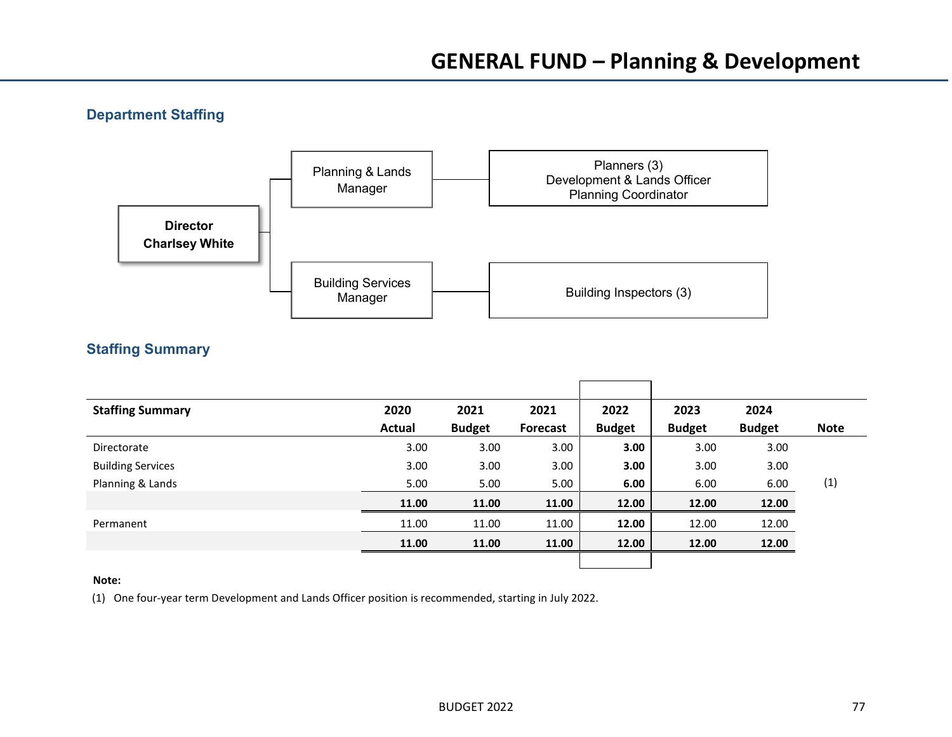## **Department Staffing**



## **Staffing Summary**

| <b>Staffing Summary</b>  | 2020          | 2021          | 2021              | 2022          | 2023          | 2024          |             |
|--------------------------|---------------|---------------|-------------------|---------------|---------------|---------------|-------------|
|                          | <b>Actual</b> | <b>Budget</b> | <b>Forecast</b>   | <b>Budget</b> | <b>Budget</b> | <b>Budget</b> | <b>Note</b> |
| Directorate              | 3.00          | 3.00          | 3.00 <sub>1</sub> | 3.00          | 3.00          | 3.00          |             |
| <b>Building Services</b> | 3.00          | 3.00          | 3.00              | 3.00          | 3.00          | 3.00          |             |
| Planning & Lands         | 5.00          | 5.00          | 5.00              | 6.00          | 6.00          | 6.00          | (1)         |
|                          | 11.00         | 11.00         | 11.00             | 12.00         | 12.00         | 12.00         |             |
| Permanent                | 11.00         | 11.00         | 11.00             | 12.00         | 12.00         | 12.00         |             |
|                          | 11.00         | 11.00         | 11.00             | 12.00         | 12.00         | 12.00         |             |
|                          |               |               |                   |               |               |               |             |

#### **Note:**

(1) One four-year term Development and Lands Officer position is recommended, starting in July 2022.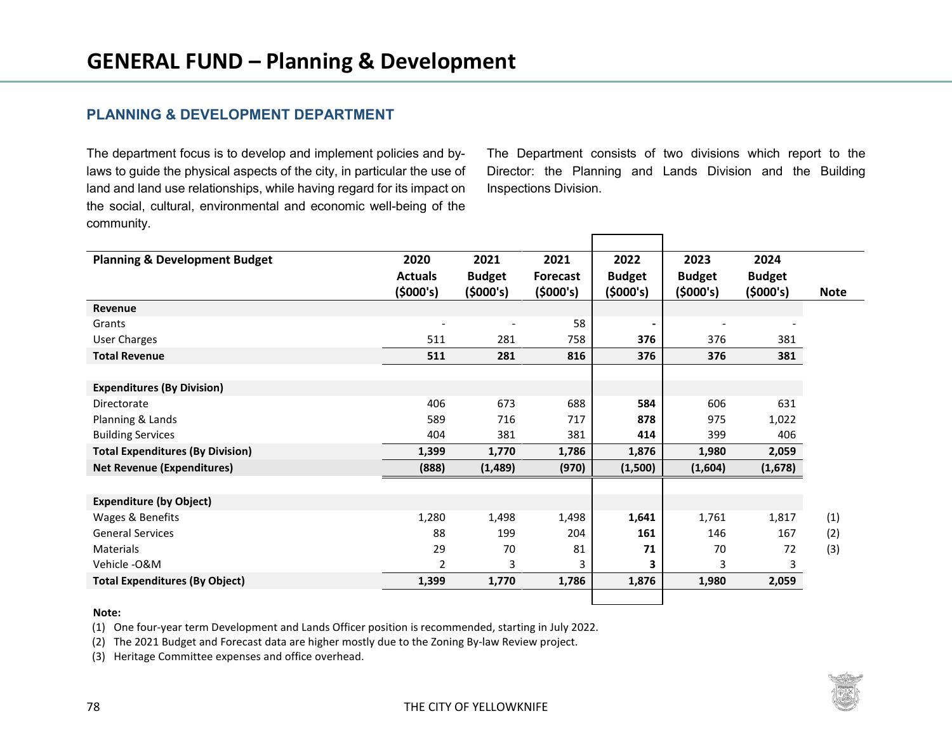## **PLANNING & DEVELOPMENT DEPARTMENT**

The department focus is to develop and implement policies and bylaws to guide the physical aspects of the city, in particular the use of land and land use relationships, while having regard for its impact on the social, cultural, environmental and economic well-being of the community.

The Department consists of two divisions which report to the Director: the Planning and Lands Division and the Building Inspections Division.

| <b>Planning &amp; Development Budget</b> | 2020           | 2021          | 2021     | 2022          | 2023          | 2024          |             |
|------------------------------------------|----------------|---------------|----------|---------------|---------------|---------------|-------------|
|                                          | <b>Actuals</b> | <b>Budget</b> | Forecast | <b>Budget</b> | <b>Budget</b> | <b>Budget</b> |             |
|                                          | (5000's)       | (5000's)      | (5000's) | (5000's)      | (5000's)      | (5000's)      | <b>Note</b> |
| Revenue                                  |                |               |          |               |               |               |             |
| Grants                                   |                |               | 58       |               |               |               |             |
| <b>User Charges</b>                      | 511            | 281           | 758      | 376           | 376           | 381           |             |
| <b>Total Revenue</b>                     | 511            | 281           | 816      | 376           | 376           | 381           |             |
|                                          |                |               |          |               |               |               |             |
| <b>Expenditures (By Division)</b>        |                |               |          |               |               |               |             |
| Directorate                              | 406            | 673           | 688      | 584           | 606           | 631           |             |
| Planning & Lands                         | 589            | 716           | 717      | 878           | 975           | 1,022         |             |
| <b>Building Services</b>                 | 404            | 381           | 381      | 414           | 399           | 406           |             |
| <b>Total Expenditures (By Division)</b>  | 1,399          | 1,770         | 1,786    | 1,876         | 1,980         | 2,059         |             |
| <b>Net Revenue (Expenditures)</b>        | (888)          | (1,489)       | (970)    | (1,500)       | (1,604)       | (1,678)       |             |
|                                          |                |               |          |               |               |               |             |
| <b>Expenditure (by Object)</b>           |                |               |          |               |               |               |             |
| Wages & Benefits                         | 1,280          | 1,498         | 1,498    | 1,641         | 1,761         | 1,817         | (1)         |
| <b>General Services</b>                  | 88             | 199           | 204      | 161           | 146           | 167           | (2)         |
| Materials                                | 29             | 70            | 81       | 71            | 70            | 72            | (3)         |
| Vehicle - O&M                            | $\overline{2}$ | 3             | 3        | 3             | 3             | 3             |             |
| <b>Total Expenditures (By Object)</b>    | 1,399          | 1,770         | 1,786    | 1,876         | 1,980         | 2,059         |             |
|                                          |                |               |          |               |               |               |             |

#### **Note:**

(1) One four-year term Development and Lands Officer position is recommended, starting in July 2022.

(2) The 2021 Budget and Forecast data are higher mostly due to the Zoning By-law Review project.

(3) Heritage Committee expenses and office overhead.

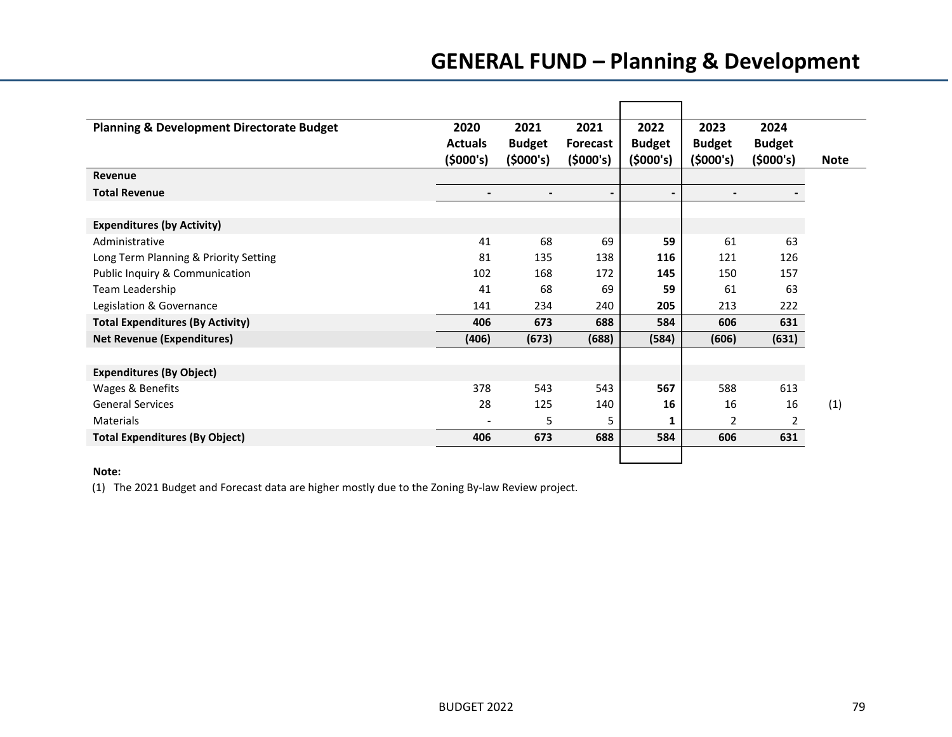# **GENERAL FUND – Planning & Development**

| <b>Planning &amp; Development Directorate Budget</b><br>2022<br>2023<br>2024<br>2020<br>2021<br>2021<br><b>Budget</b><br><b>Budget</b><br><b>Budget</b><br><b>Actuals</b><br><b>Budget</b><br>Forecast<br>(5000's)<br>(5000's)<br>(5000's)<br>(5000's)<br>(5000's)<br>(5000's)<br><b>Note</b><br>Revenue<br><b>Total Revenue</b><br>$\overline{\phantom{a}}$<br>$\blacksquare$<br>$\overline{\phantom{a}}$<br>$\blacksquare$<br>$\blacksquare$<br><b>Expenditures (by Activity)</b> |
|-------------------------------------------------------------------------------------------------------------------------------------------------------------------------------------------------------------------------------------------------------------------------------------------------------------------------------------------------------------------------------------------------------------------------------------------------------------------------------------|
|                                                                                                                                                                                                                                                                                                                                                                                                                                                                                     |
|                                                                                                                                                                                                                                                                                                                                                                                                                                                                                     |
|                                                                                                                                                                                                                                                                                                                                                                                                                                                                                     |
|                                                                                                                                                                                                                                                                                                                                                                                                                                                                                     |
|                                                                                                                                                                                                                                                                                                                                                                                                                                                                                     |
| 41<br>68<br>61<br>63<br>Administrative<br>69<br>59                                                                                                                                                                                                                                                                                                                                                                                                                                  |
| Long Term Planning & Priority Setting<br>81<br>135<br>138<br>116<br>121<br>126                                                                                                                                                                                                                                                                                                                                                                                                      |
| Public Inquiry & Communication<br>102<br>168<br>172<br>145<br>150<br>157                                                                                                                                                                                                                                                                                                                                                                                                            |
| 63<br>Team Leadership<br>41<br>68<br>69<br>59<br>61                                                                                                                                                                                                                                                                                                                                                                                                                                 |
| 205<br>213<br>222<br>Legislation & Governance<br>234<br>240<br>141                                                                                                                                                                                                                                                                                                                                                                                                                  |
| <b>Total Expenditures (By Activity)</b><br>406<br>673<br>688<br>584<br>606<br>631                                                                                                                                                                                                                                                                                                                                                                                                   |
| <b>Net Revenue (Expenditures)</b><br>(631)<br>(406)<br>(673)<br>(688)<br>(584)<br>(606)                                                                                                                                                                                                                                                                                                                                                                                             |
|                                                                                                                                                                                                                                                                                                                                                                                                                                                                                     |
| <b>Expenditures (By Object)</b>                                                                                                                                                                                                                                                                                                                                                                                                                                                     |
| Wages & Benefits<br>378<br>543<br>588<br>613<br>543<br>567                                                                                                                                                                                                                                                                                                                                                                                                                          |
| <b>General Services</b><br>28<br>125<br>(1)<br>140<br>16<br>16<br>16                                                                                                                                                                                                                                                                                                                                                                                                                |
| 5<br>2<br>2<br><b>Materials</b><br>5<br>1<br>$\overline{\phantom{a}}$                                                                                                                                                                                                                                                                                                                                                                                                               |
| <b>Total Expenditures (By Object)</b><br>584<br>406<br>673<br>688<br>606<br>631                                                                                                                                                                                                                                                                                                                                                                                                     |
|                                                                                                                                                                                                                                                                                                                                                                                                                                                                                     |

#### **Note:**

(1) The 2021 Budget and Forecast data are higher mostly due to the Zoning By-law Review project.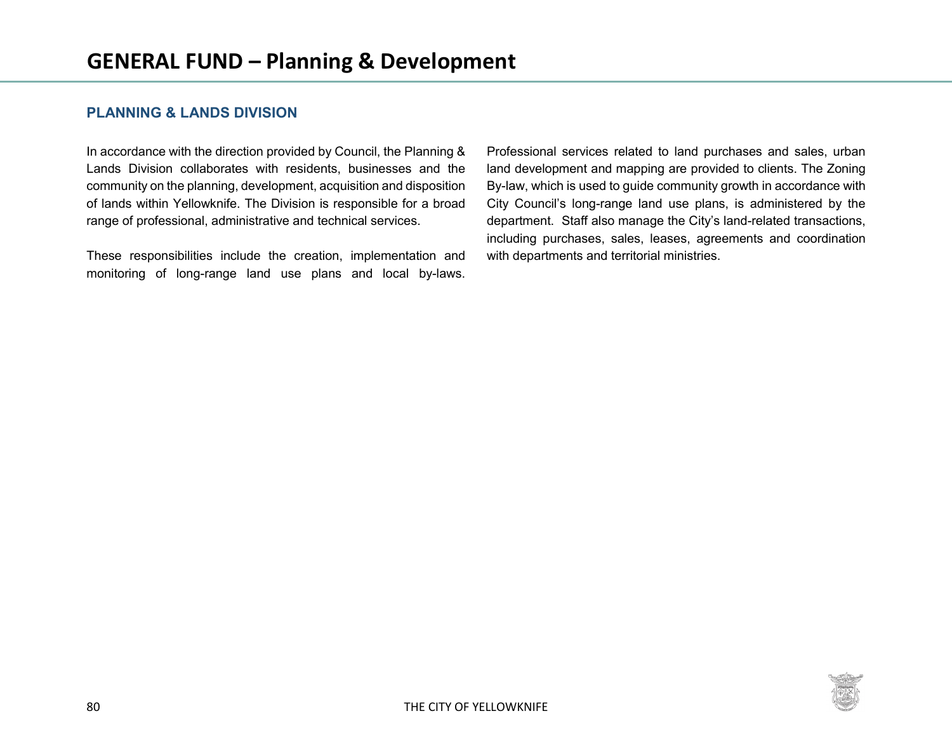## **PLANNING & LANDS DIVISION**

In accordance with the direction provided by Council, the Planning & Lands Division collaborates with residents, businesses and the community on the planning, development, acquisition and disposition of lands within Yellowknife. The Division is responsible for a broad range of professional, administrative and technical services.

These responsibilities include the creation, implementation and monitoring of long-range land use plans and local by-laws.

Professional services related to land purchases and sales, urban land development and mapping are provided to clients. The Zoning By-law, which is used to guide community growth in accordance with City Council's long-range land use plans, is administered by the department. Staff also manage the City's land-related transactions, including purchases, sales, leases, agreements and coordination with departments and territorial ministries.

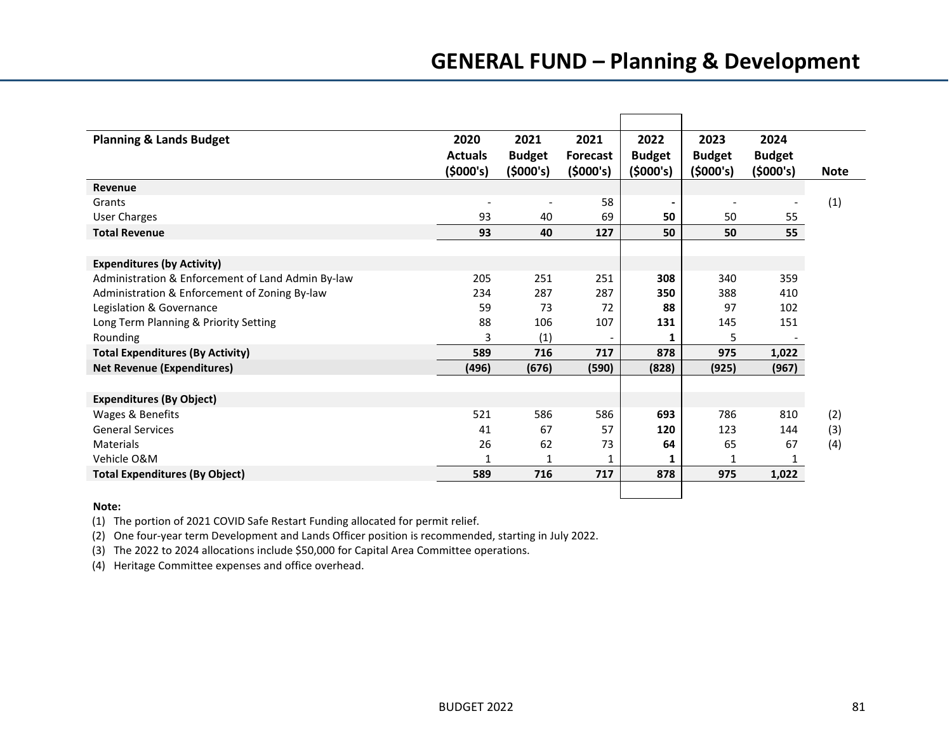## **GENERAL FUND – Planning & Development**

| <b>Planning &amp; Lands Budget</b>                | 2020           | 2021          | 2021                     | 2022          | 2023          | 2024           |             |
|---------------------------------------------------|----------------|---------------|--------------------------|---------------|---------------|----------------|-------------|
|                                                   | <b>Actuals</b> | <b>Budget</b> | <b>Forecast</b>          | <b>Budget</b> | <b>Budget</b> | <b>Budget</b>  |             |
|                                                   | (5000's)       | (5000's)      | (5000's)                 | (5000's)      | (5000's)      | (5000's)       | <b>Note</b> |
| Revenue                                           |                |               |                          |               |               |                |             |
| Grants                                            |                |               | 58                       |               |               |                | (1)         |
| <b>User Charges</b>                               | 93             | 40            | 69                       | 50            | 50            | 55             |             |
| <b>Total Revenue</b>                              | 93             | 40            | 127                      | 50            | 50            | 55             |             |
|                                                   |                |               |                          |               |               |                |             |
| <b>Expenditures (by Activity)</b>                 |                |               |                          |               |               |                |             |
| Administration & Enforcement of Land Admin By-law | 205            | 251           | 251                      | 308           | 340           | 359            |             |
| Administration & Enforcement of Zoning By-law     | 234            | 287           | 287                      | 350           | 388           | 410            |             |
| Legislation & Governance                          | 59             | 73            | 72                       | 88            | 97            | 102            |             |
| Long Term Planning & Priority Setting             | 88             | 106           | 107                      | 131           | 145           | 151            |             |
| Rounding                                          | 3              | (1)           | $\overline{\phantom{a}}$ | 1             | 5             | $\blacksquare$ |             |
| <b>Total Expenditures (By Activity)</b>           | 589            | 716           | 717                      | 878           | 975           | 1,022          |             |
| <b>Net Revenue (Expenditures)</b>                 | (496)          | (676)         | (590)                    | (828)         | (925)         | (967)          |             |
|                                                   |                |               |                          |               |               |                |             |
| <b>Expenditures (By Object)</b>                   |                |               |                          |               |               |                |             |
| Wages & Benefits                                  | 521            | 586           | 586                      | 693           | 786           | 810            | (2)         |
| <b>General Services</b>                           | 41             | 67            | 57                       | 120           | 123           | 144            | (3)         |
| Materials                                         | 26             | 62            | 73                       | 64            | 65            | 67             | (4)         |
| Vehicle O&M                                       | 1              | 1             | 1                        | 1             | 1             | 1              |             |
| <b>Total Expenditures (By Object)</b>             | 589            | 716           | 717                      | 878           | 975           | 1,022          |             |
|                                                   |                |               |                          |               |               |                |             |

#### **Note:**

(1) The portion of 2021 COVID Safe Restart Funding allocated for permit relief.

(2) One four-year term Development and Lands Officer position is recommended, starting in July 2022.

(3) The 2022 to 2024 allocations include \$50,000 for Capital Area Committee operations.

(4) Heritage Committee expenses and office overhead.